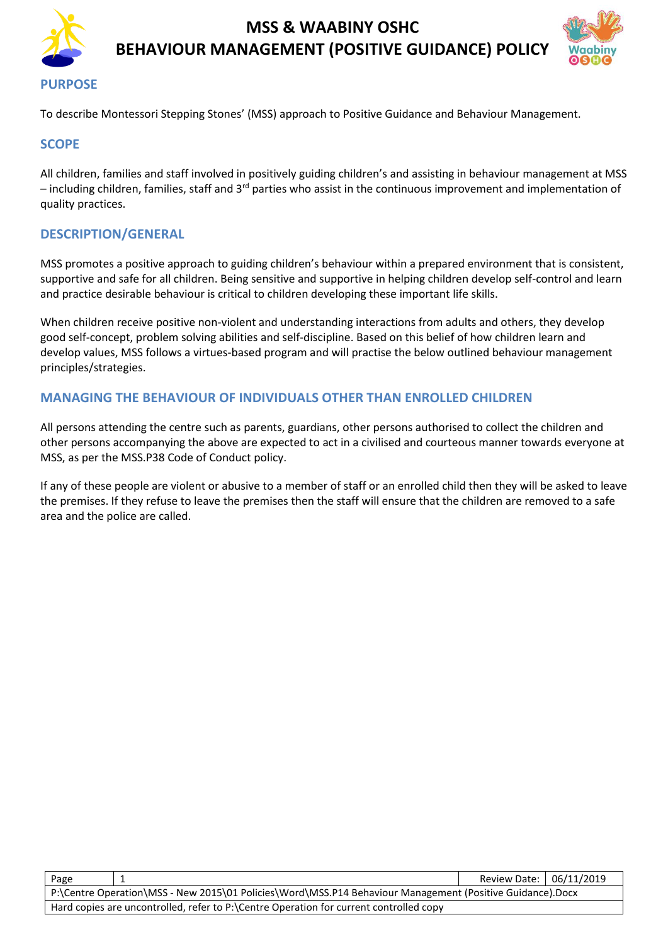

# **MSS & WAABINY OSHC BEHAVIOUR MANAGEMENT (POSITIVE GUIDANCE) POLICY**



#### **PURPOSE**

To describe Montessori Stepping Stones' (MSS) approach to Positive Guidance and Behaviour Management.

#### **SCOPE**

All children, families and staff involved in positively guiding children's and assisting in behaviour management at MSS – including children, families, staff and 3<sup>rd</sup> parties who assist in the continuous improvement and implementation of quality practices.

#### **DESCRIPTION/GENERAL**

MSS promotes a positive approach to guiding children's behaviour within a prepared environment that is consistent, supportive and safe for all children. Being sensitive and supportive in helping children develop self-control and learn and practice desirable behaviour is critical to children developing these important life skills.

When children receive positive non-violent and understanding interactions from adults and others, they develop good self-concept, problem solving abilities and self-discipline. Based on this belief of how children learn and develop values, MSS follows a virtues-based program and will practise the below outlined behaviour management principles/strategies.

### **MANAGING THE BEHAVIOUR OF INDIVIDUALS OTHER THAN ENROLLED CHILDREN**

All persons attending the centre such as parents, guardians, other persons authorised to collect the children and other persons accompanying the above are expected to act in a civilised and courteous manner towards everyone at MSS, as per the MSS.P38 Code of Conduct policy.

If any of these people are violent or abusive to a member of staff or an enrolled child then they will be asked to leave the premises. If they refuse to leave the premises then the staff will ensure that the children are removed to a safe area and the police are called.

| Page                                                                                                      |  | Review Date: 06/11/2019 |  |  |  |  |
|-----------------------------------------------------------------------------------------------------------|--|-------------------------|--|--|--|--|
| P:\Centre Operation\MSS - New 2015\01 Policies\Word\MSS.P14 Behaviour Management (Positive Guidance).Docx |  |                         |  |  |  |  |
| Hard copies are uncontrolled, refer to P:\Centre Operation for current controlled copy                    |  |                         |  |  |  |  |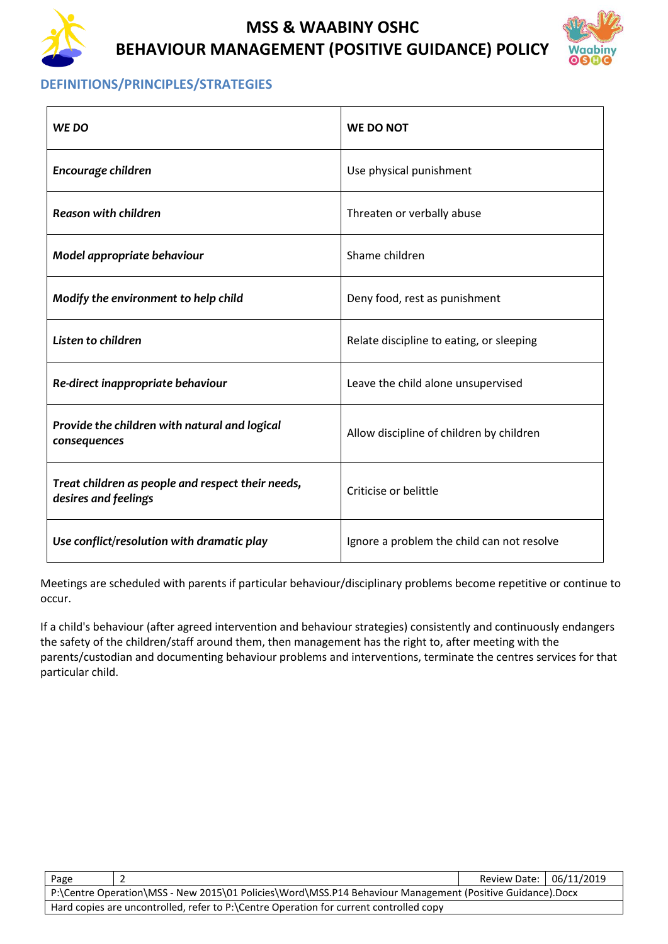

# **MSS & WAABINY OSHC BEHAVIOUR MANAGEMENT (POSITIVE GUIDANCE) POLICY**



### **DEFINITIONS/PRINCIPLES/STRATEGIES**

| WE DO                                                                     | <b>WE DO NOT</b>                           |  |
|---------------------------------------------------------------------------|--------------------------------------------|--|
| Encourage children                                                        | Use physical punishment                    |  |
| Reason with children                                                      | Threaten or verbally abuse                 |  |
| Model appropriate behaviour                                               | Shame children                             |  |
| Modify the environment to help child                                      | Deny food, rest as punishment              |  |
| Listen to children                                                        | Relate discipline to eating, or sleeping   |  |
| Re-direct inappropriate behaviour                                         | Leave the child alone unsupervised         |  |
| Provide the children with natural and logical<br>consequences             | Allow discipline of children by children   |  |
| Treat children as people and respect their needs,<br>desires and feelings | Criticise or belittle                      |  |
| Use conflict/resolution with dramatic play                                | Ignore a problem the child can not resolve |  |

Meetings are scheduled with parents if particular behaviour/disciplinary problems become repetitive or continue to occur.

If a child's behaviour (after agreed intervention and behaviour strategies) consistently and continuously endangers the safety of the children/staff around them, then management has the right to, after meeting with the parents/custodian and documenting behaviour problems and interventions, terminate the centres services for that particular child.

| Page                                                                                                      |  | Review Date: 06/11/2019 |  |  |  |  |
|-----------------------------------------------------------------------------------------------------------|--|-------------------------|--|--|--|--|
| P:\Centre Operation\MSS - New 2015\01 Policies\Word\MSS.P14 Behaviour Management (Positive Guidance).Docx |  |                         |  |  |  |  |
| Hard copies are uncontrolled, refer to P:\Centre Operation for current controlled copy                    |  |                         |  |  |  |  |